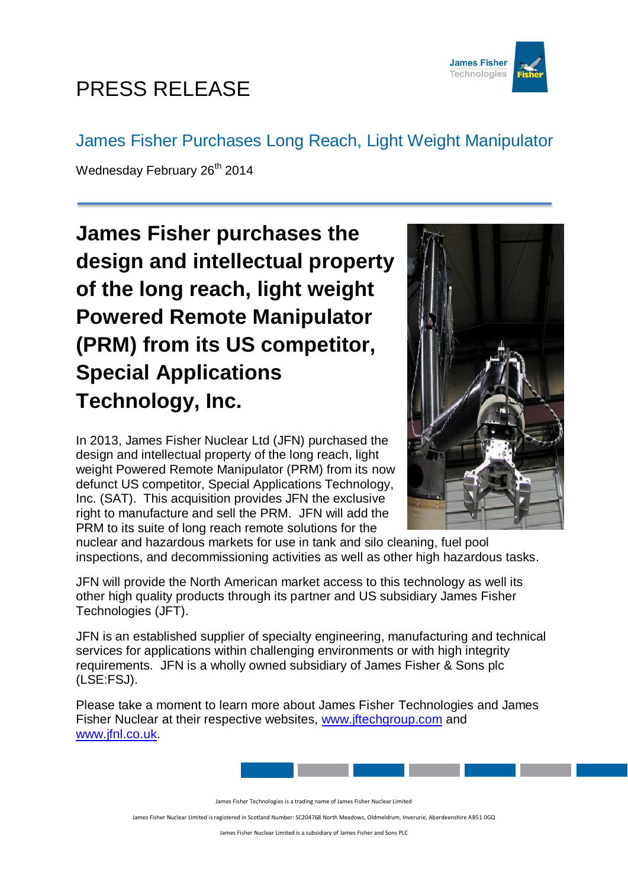

## PRESS RELEASE

## James Fisher Purchases Long Reach, Light Weight Manipulator

Wednesday February 26<sup>th</sup> 2014

**James Fisher purchases the design and intellectual property of the long reach, light weight Powered Remote Manipulator (PRM) from its US competitor, Special Applications Technology, Inc.**

In 2013, James Fisher Nuclear Ltd (JFN) purchased the design and intellectual property of the long reach, light weight Powered Remote Manipulator (PRM) from its now defunct US competitor, Special Applications Technology, Inc. (SAT). This acquisition provides JFN the exclusive right to manufacture and sell the PRM. JFN will add the PRM to its suite of long reach remote solutions for the



nuclear and hazardous markets for use in tank and silo cleaning, fuel pool inspections, and decommissioning activities as well as other high hazardous tasks.

JFN will provide the North American market access to this technology as well its other high quality products through its partner and US subsidiary James Fisher Technologies (JFT).

JFN is an established supplier of specialty engineering, manufacturing and technical services for applications within challenging environments or with high integrity requirements. JFN is a wholly owned subsidiary of James Fisher & Sons plc (LSE:FSJ).

Please take a moment to learn more about James Fisher Technologies and James Fisher Nuclear at their respective websites, [www.jftechgroup.com](http://www.jftechgroup.com/) and [www.jfnl.co.uk.](http://www.jfnl.co.uk/)



James Fisher Technologies is a trading name of James Fisher Nuclear Limited

James Fisher Nuclear Limited is registered in Scotland Number: SC204768 North Meadows, Oldmeldrum, Inverurie, Aberdeenshire AB51 0GQ